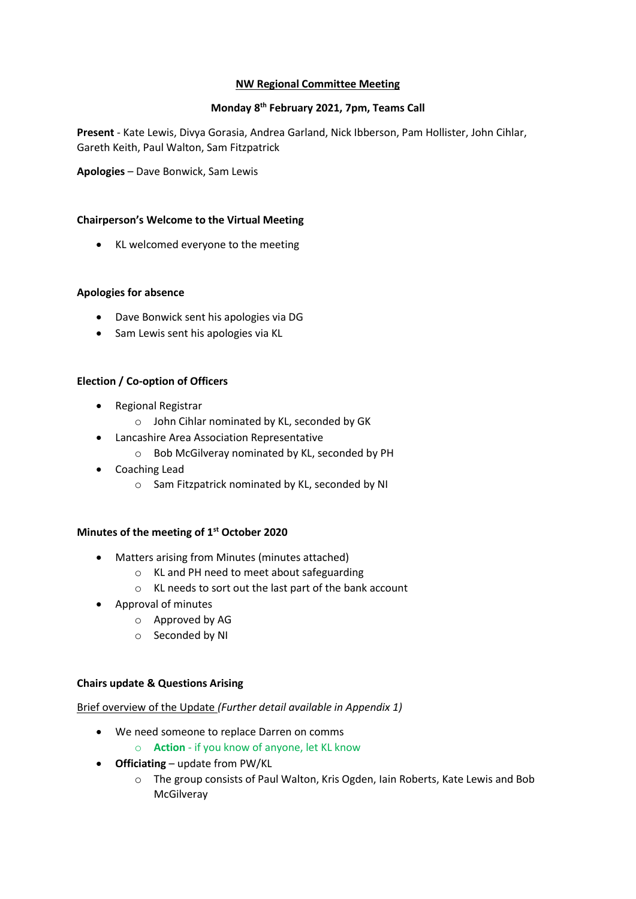# **NW Regional Committee Meeting**

# **Monday 8 th February 2021, 7pm, Teams Call**

**Present** - Kate Lewis, Divya Gorasia, Andrea Garland, Nick Ibberson, Pam Hollister, John Cihlar, Gareth Keith, Paul Walton, Sam Fitzpatrick

**Apologies** – Dave Bonwick, Sam Lewis

# **Chairperson's Welcome to the Virtual Meeting**

• KL welcomed everyone to the meeting

## **Apologies for absence**

- Dave Bonwick sent his apologies via DG
- Sam Lewis sent his apologies via KL

# **Election / Co-option of Officers**

- Regional Registrar
	- o John Cihlar nominated by KL, seconded by GK
- Lancashire Area Association Representative
	- o Bob McGilveray nominated by KL, seconded by PH
- Coaching Lead
	- o Sam Fitzpatrick nominated by KL, seconded by NI

## **Minutes of the meeting of 1st October 2020**

- Matters arising from Minutes (minutes attached)
	- o KL and PH need to meet about safeguarding
	- o KL needs to sort out the last part of the bank account
- Approval of minutes
	- o Approved by AG
	- o Seconded by NI

## **Chairs update & Questions Arising**

Brief overview of the Update *(Further detail available in Appendix 1)*

- We need someone to replace Darren on comms
	- o **Action** if you know of anyone, let KL know
- **Officiating** update from PW/KL
	- o The group consists of Paul Walton, Kris Ogden, Iain Roberts, Kate Lewis and Bob **McGilveray**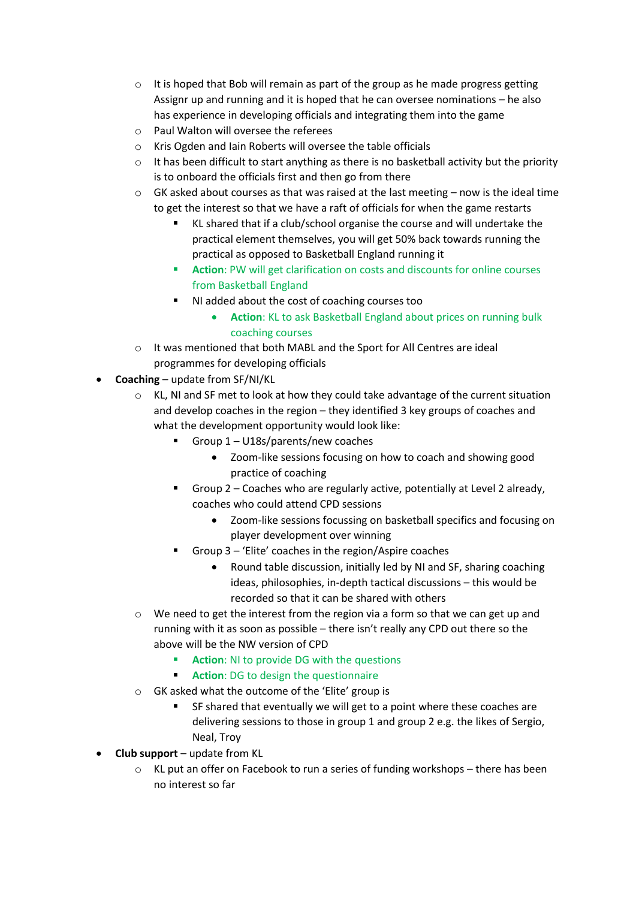- $\circ$  It is hoped that Bob will remain as part of the group as he made progress getting Assignr up and running and it is hoped that he can oversee nominations – he also has experience in developing officials and integrating them into the game
- o Paul Walton will oversee the referees
- o Kris Ogden and Iain Roberts will oversee the table officials
- $\circ$  It has been difficult to start anything as there is no basketball activity but the priority is to onboard the officials first and then go from there
- $\circ$  GK asked about courses as that was raised at the last meeting now is the ideal time to get the interest so that we have a raft of officials for when the game restarts
	- KL shared that if a club/school organise the course and will undertake the practical element themselves, you will get 50% back towards running the practical as opposed to Basketball England running it
	- **Action**: PW will get clarification on costs and discounts for online courses from Basketball England
	- NI added about the cost of coaching courses too
		- **Action**: KL to ask Basketball England about prices on running bulk coaching courses
- o It was mentioned that both MABL and the Sport for All Centres are ideal programmes for developing officials
- **Coaching** update from SF/NI/KL
	- $\circ$  KL, NI and SF met to look at how they could take advantage of the current situation and develop coaches in the region – they identified 3 key groups of coaches and what the development opportunity would look like:
		- Group  $1 U18s/parents / new coaches$ 
			- Zoom-like sessions focusing on how to coach and showing good practice of coaching
		- Group 2 Coaches who are regularly active, potentially at Level 2 already, coaches who could attend CPD sessions
			- Zoom-like sessions focussing on basketball specifics and focusing on player development over winning
		- Group 3 'Elite' coaches in the region/Aspire coaches
			- Round table discussion, initially led by NI and SF, sharing coaching ideas, philosophies, in-depth tactical discussions – this would be recorded so that it can be shared with others
	- $\circ$  We need to get the interest from the region via a form so that we can get up and running with it as soon as possible – there isn't really any CPD out there so the above will be the NW version of CPD
		- **Action**: NI to provide DG with the questions
		- **Action**: DG to design the questionnaire
	- o GK asked what the outcome of the 'Elite' group is
		- SF shared that eventually we will get to a point where these coaches are delivering sessions to those in group 1 and group 2 e.g. the likes of Sergio, Neal, Troy
- **Club support** update from KL
	- $\circ$  KL put an offer on Facebook to run a series of funding workshops there has been no interest so far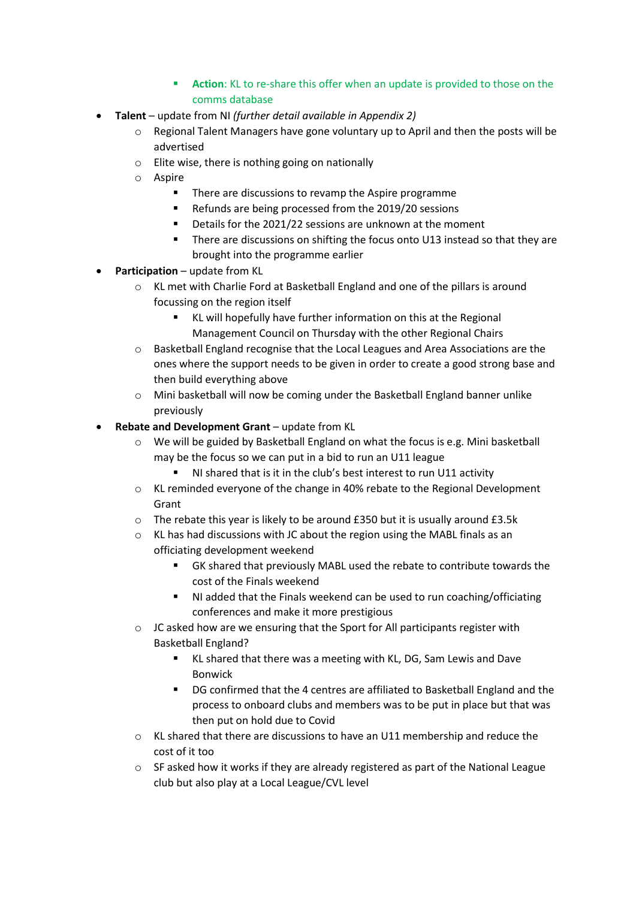- **EXECT** Action: KL to re-share this offer when an update is provided to those on the comms database
- **Talent** update from NI *(further detail available in Appendix 2)*
	- $\circ$  Regional Talent Managers have gone voluntary up to April and then the posts will be advertised
	- o Elite wise, there is nothing going on nationally
	- o Aspire
		- There are discussions to revamp the Aspire programme
		- Refunds are being processed from the 2019/20 sessions
		- Details for the 2021/22 sessions are unknown at the moment
		- There are discussions on shifting the focus onto U13 instead so that they are brought into the programme earlier
- **Participation** update from KL
	- $\circ$  KL met with Charlie Ford at Basketball England and one of the pillars is around focussing on the region itself
		- KL will hopefully have further information on this at the Regional Management Council on Thursday with the other Regional Chairs
	- o Basketball England recognise that the Local Leagues and Area Associations are the ones where the support needs to be given in order to create a good strong base and then build everything above
	- o Mini basketball will now be coming under the Basketball England banner unlike previously
- **Rebate and Development Grant** update from KL
	- We will be guided by Basketball England on what the focus is e.g. Mini basketball may be the focus so we can put in a bid to run an U11 league
		- NI shared that is it in the club's best interest to run U11 activity
	- o KL reminded everyone of the change in 40% rebate to the Regional Development Grant
	- o The rebate this year is likely to be around £350 but it is usually around £3.5k
	- o KL has had discussions with JC about the region using the MABL finals as an officiating development weekend
		- GK shared that previously MABL used the rebate to contribute towards the cost of the Finals weekend
		- NI added that the Finals weekend can be used to run coaching/officiating conferences and make it more prestigious
	- o JC asked how are we ensuring that the Sport for All participants register with Basketball England?
		- KL shared that there was a meeting with KL, DG, Sam Lewis and Dave Bonwick
		- DG confirmed that the 4 centres are affiliated to Basketball England and the process to onboard clubs and members was to be put in place but that was then put on hold due to Covid
	- o KL shared that there are discussions to have an U11 membership and reduce the cost of it too
	- $\circ$  SF asked how it works if they are already registered as part of the National League club but also play at a Local League/CVL level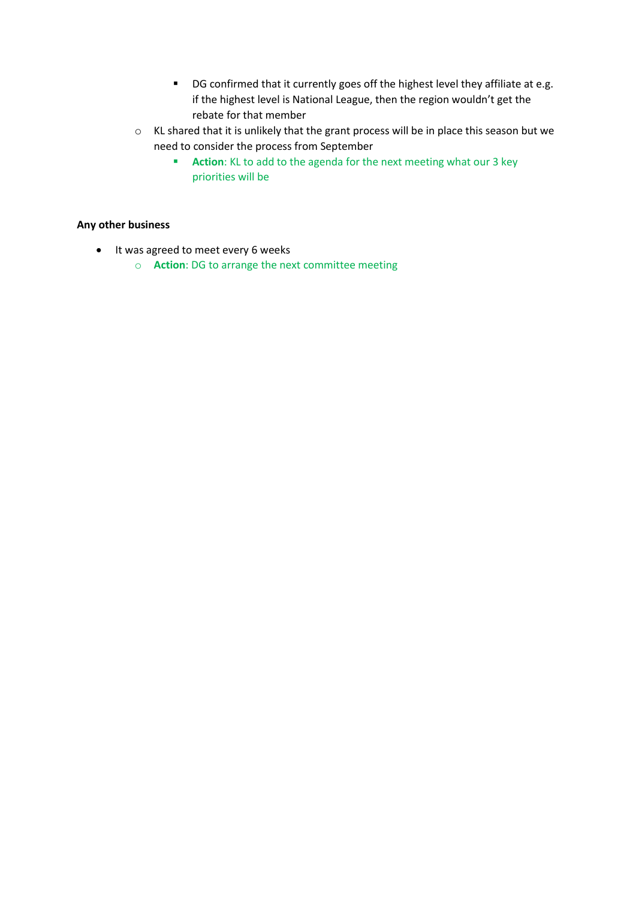- DG confirmed that it currently goes off the highest level they affiliate at e.g. if the highest level is National League, then the region wouldn't get the rebate for that member
- o KL shared that it is unlikely that the grant process will be in place this season but we need to consider the process from September
	- **Action**: KL to add to the agenda for the next meeting what our 3 key priorities will be

# **Any other business**

- It was agreed to meet every 6 weeks
	- o **Action**: DG to arrange the next committee meeting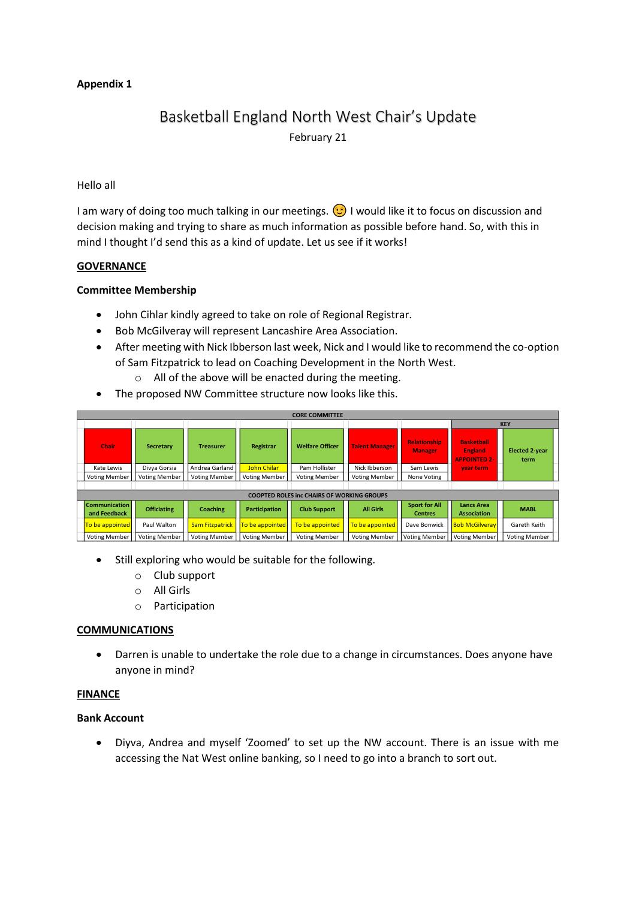# **Appendix 1**

# Basketball England North West Chair's Update February 21

## Hello all

I am wary of doing too much talking in our meetings.  $\odot$  I would like it to focus on discussion and decision making and trying to share as much information as possible before hand. So, with this in mind I thought I'd send this as a kind of update. Let us see if it works!

# **GOVERNANCE**

# **Committee Membership**

- John Cihlar kindly agreed to take on role of Regional Registrar.
- Bob McGilveray will represent Lancashire Area Association.
- After meeting with Nick Ibberson last week, Nick and I would like to recommend the co-option of Sam Fitzpatrick to lead on Coaching Development in the North West.
	- o All of the above will be enacted during the meeting.
- The proposed NW Committee structure now looks like this.

| <b>CORE COMMITTEE</b>                             |                                      |                      |                        |                      |                        |                       |                                        |                                                            |                               |  |
|---------------------------------------------------|--------------------------------------|----------------------|------------------------|----------------------|------------------------|-----------------------|----------------------------------------|------------------------------------------------------------|-------------------------------|--|
|                                                   |                                      |                      |                        |                      |                        |                       |                                        | <b>KEY</b>                                                 |                               |  |
|                                                   | Chair                                | <b>Secretary</b>     | <b>Treasurer</b>       | Registrar            | <b>Welfare Officer</b> | <b>Talent Manager</b> | <b>Relationship</b><br><b>Manager</b>  | <b>Basketball</b><br><b>England</b><br><b>APPOINTED 2-</b> | <b>Elected 2-year</b><br>term |  |
|                                                   | Kate Lewis                           | Divva Gorsia         | Andrea Garland         | <b>John Chilar</b>   | Pam Hollister          | Nick Ibberson         | Sam Lewis                              | <b>year term</b>                                           |                               |  |
|                                                   | <b>Voting Member</b>                 | <b>Voting Member</b> | <b>Voting Member</b>   | <b>Voting Member</b> | <b>Voting Member</b>   | <b>Voting Member</b>  | None Voting                            |                                                            |                               |  |
|                                                   |                                      |                      |                        |                      |                        |                       |                                        |                                                            |                               |  |
| <b>COOPTED ROLES inc CHAIRS OF WORKING GROUPS</b> |                                      |                      |                        |                      |                        |                       |                                        |                                                            |                               |  |
|                                                   | <b>Communication</b><br>and Feedback | <b>Officiating</b>   | <b>Coaching</b>        | <b>Participation</b> | <b>Club Support</b>    | <b>All Girls</b>      | <b>Sport for All</b><br><b>Centres</b> | <b>Lancs Area</b><br><b>Association</b>                    | <b>MABL</b>                   |  |
|                                                   | To be appointed                      | Paul Walton          | <b>Sam Fitzpatrick</b> | To be appointed      | To be appointed        | To be appointed       | Dave Bonwick                           | <b>Bob McGilveray</b>                                      | Gareth Keith                  |  |
|                                                   | <b>Voting Member</b>                 | <b>Voting Member</b> | <b>Voting Member</b>   | <b>Voting Member</b> | <b>Voting Member</b>   | <b>Voting Member</b>  | <b>Voting Member</b>                   | <b>Voting Member</b>                                       | <b>Voting Member</b>          |  |

- Still exploring who would be suitable for the following.
	- o Club support
	- o All Girls
	- o Participation

## **COMMUNICATIONS**

• Darren is unable to undertake the role due to a change in circumstances. Does anyone have anyone in mind?

## **FINANCE**

# **Bank Account**

• Diyva, Andrea and myself 'Zoomed' to set up the NW account. There is an issue with me accessing the Nat West online banking, so I need to go into a branch to sort out.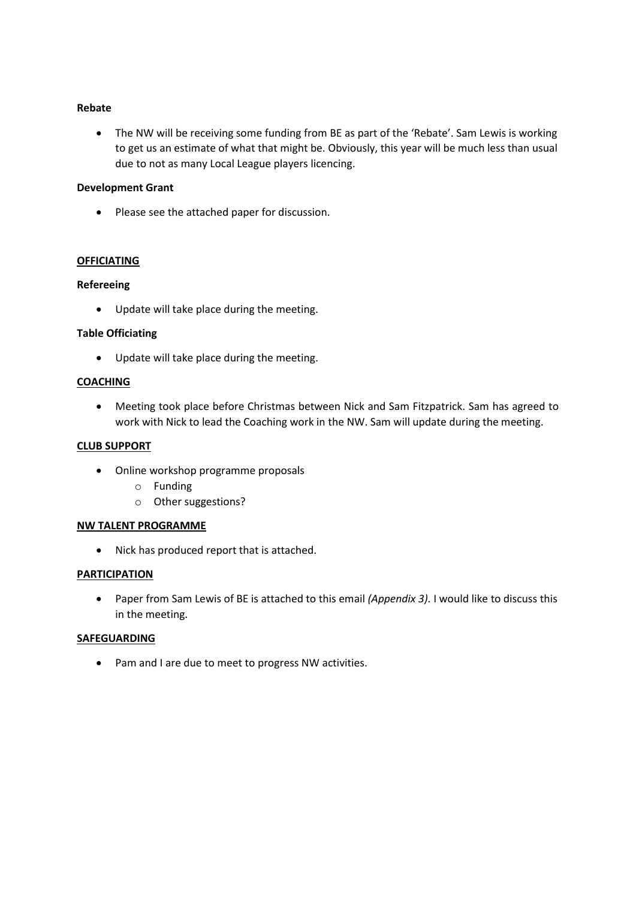## **Rebate**

• The NW will be receiving some funding from BE as part of the 'Rebate'. Sam Lewis is working to get us an estimate of what that might be. Obviously, this year will be much less than usual due to not as many Local League players licencing.

## **Development Grant**

• Please see the attached paper for discussion.

## **OFFICIATING**

#### **Refereeing**

• Update will take place during the meeting.

## **Table Officiating**

• Update will take place during the meeting.

## **COACHING**

• Meeting took place before Christmas between Nick and Sam Fitzpatrick. Sam has agreed to work with Nick to lead the Coaching work in the NW. Sam will update during the meeting.

#### **CLUB SUPPORT**

- Online workshop programme proposals
	- o Funding
	- o Other suggestions?

#### **NW TALENT PROGRAMME**

• Nick has produced report that is attached.

## **PARTICIPATION**

• Paper from Sam Lewis of BE is attached to this email *(Appendix 3).* I would like to discuss this in the meeting.

#### **SAFEGUARDING**

• Pam and I are due to meet to progress NW activities.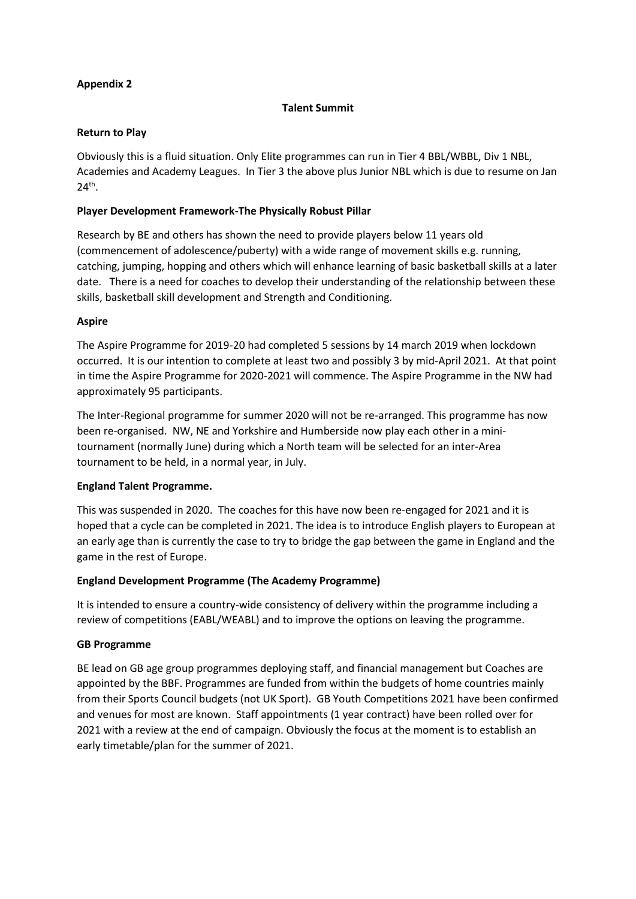# **Appendix 2**

# **Talent Summit**

# **Return to Play**

Obviously this is a fluid situation. Only Elite programmes can run in Tier 4 BBL/WBBL, Div 1 NBL, Academies and Academy Leagues. In Tier 3 the above plus Junior NBL which is due to resume on Jan  $24<sup>th</sup>$ .

# **Player Development Framework-The Physically Robust Pillar**

Research by BE and others has shown the need to provide players below 11 years old (commencement of adolescence/puberty) with a wide range of movement skills e.g. running, catching, jumping, hopping and others which will enhance learning of basic basketball skills at a later date. There is a need for coaches to develop their understanding of the relationship between these skills, basketball skill development and Strength and Conditioning.

# **Aspire**

The Aspire Programme for 2019-20 had completed 5 sessions by 14 march 2019 when lockdown occurred. It is our intention to complete at least two and possibly 3 by mid-April 2021. At that point in time the Aspire Programme for 2020-2021 will commence. The Aspire Programme in the NW had approximately 95 participants.

The Inter-Regional programme for summer 2020 will not be re-arranged. This programme has now been re-organised. NW, NE and Yorkshire and Humberside now play each other in a minitournament (normally June) during which a North team will be selected for an inter-Area tournament to be held, in a normal year, in July.

# **England Talent Programme.**

This was suspended in 2020. The coaches for this have now been re-engaged for 2021 and it is hoped that a cycle can be completed in 2021. The idea is to introduce English players to European at an early age than is currently the case to try to bridge the gap between the game in England and the game in the rest of Europe.

# **England Development Programme (The Academy Programme)**

It is intended to ensure a country-wide consistency of delivery within the programme including a review of competitions (EABL/WEABL) and to improve the options on leaving the programme.

## **GB Programme**

BE lead on GB age group programmes deploying staff, and financial management but Coaches are appointed by the BBF. Programmes are funded from within the budgets of home countries mainly from their Sports Council budgets (not UK Sport). GB Youth Competitions 2021 have been confirmed and venues for most are known. Staff appointments (1 year contract) have been rolled over for 2021 with a review at the end of campaign. Obviously the focus at the moment is to establish an early timetable/plan for the summer of 2021.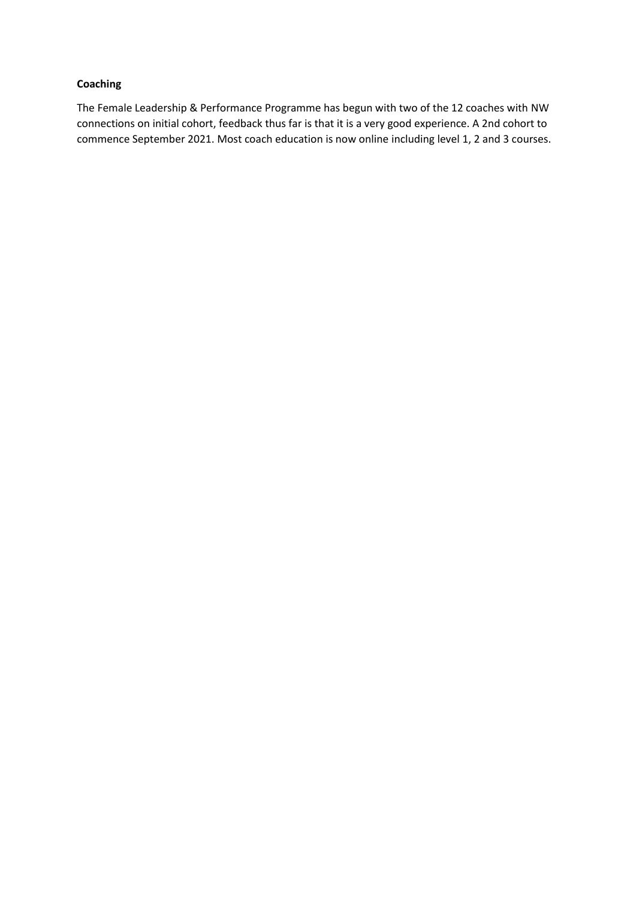## **Coaching**

The Female Leadership & Performance Programme has begun with two of the 12 coaches with NW connections on initial cohort, feedback thus far is that it is a very good experience. A 2nd cohort to commence September 2021. Most coach education is now online including level 1, 2 and 3 courses.